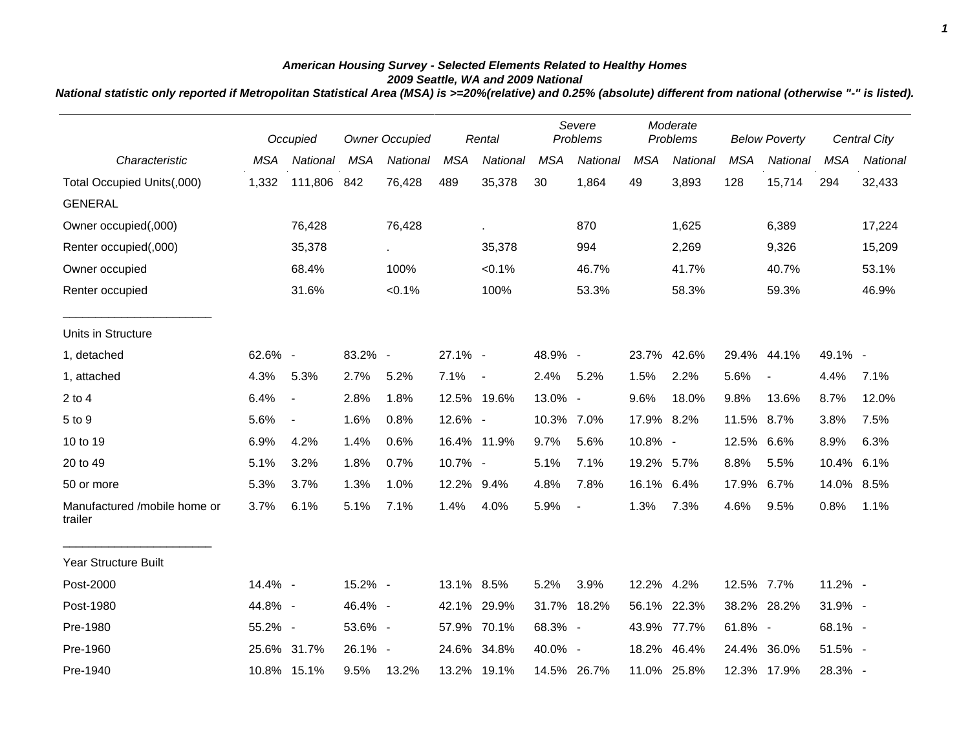## *American Housing Survey - Selected Elements Related to Healthy Homes 2009 Seattle, WA and 2009 National*

*National statistic only reported if Metropolitan Statistical Area (MSA) is >=20%(relative) and 0.25% (absolute) different from national (otherwise "-" is listed).*

|                                         |            | Occupied                 |            | <b>Owner Occupied</b> |            | Rental         |            | Severe<br>Problems |            | Moderate<br>Problems |            | <b>Below Poverty</b> |            | <b>Central City</b> |  |
|-----------------------------------------|------------|--------------------------|------------|-----------------------|------------|----------------|------------|--------------------|------------|----------------------|------------|----------------------|------------|---------------------|--|
| Characteristic                          | <b>MSA</b> | National                 | <b>MSA</b> | National              | <b>MSA</b> | National       | <b>MSA</b> | National           | <b>MSA</b> | National             | <b>MSA</b> | National             | <b>MSA</b> | National            |  |
| Total Occupied Units(,000)              | 1,332      | 111,806 842              |            | 76,428                | 489        | 35,378         | 30         | 1,864              | 49         | 3,893                | 128        | 15,714               | 294        | 32,433              |  |
| <b>GENERAL</b>                          |            |                          |            |                       |            |                |            |                    |            |                      |            |                      |            |                     |  |
| Owner occupied(,000)                    |            | 76,428                   |            | 76,428                |            |                |            | 870                |            | 1,625                |            | 6,389                |            | 17,224              |  |
| Renter occupied(,000)                   |            | 35,378                   |            |                       |            | 35,378         |            | 994                |            | 2,269                |            | 9,326                |            | 15,209              |  |
| Owner occupied                          |            | 68.4%                    |            | 100%                  |            | $< 0.1\%$      |            | 46.7%              |            | 41.7%                |            | 40.7%                |            | 53.1%               |  |
| Renter occupied                         |            | 31.6%                    |            | $< 0.1\%$             |            | 100%           |            | 53.3%              |            | 58.3%                |            | 59.3%                |            | 46.9%               |  |
| Units in Structure                      |            |                          |            |                       |            |                |            |                    |            |                      |            |                      |            |                     |  |
| 1, detached                             | 62.6% -    |                          | 83.2% -    |                       | 27.1% -    |                | 48.9% -    |                    | 23.7%      | 42.6%                |            | 29.4% 44.1%          | 49.1% -    |                     |  |
| 1, attached                             | 4.3%       | 5.3%                     | 2.7%       | 5.2%                  | 7.1%       | $\blacksquare$ | 2.4%       | 5.2%               | 1.5%       | 2.2%                 | 5.6%       | $\blacksquare$       | 4.4%       | 7.1%                |  |
| $2$ to 4                                | 6.4%       | $\overline{\phantom{a}}$ | 2.8%       | 1.8%                  |            | 12.5% 19.6%    | 13.0% -    |                    | 9.6%       | 18.0%                | 9.8%       | 13.6%                | 8.7%       | 12.0%               |  |
| 5 to 9                                  | 5.6%       | $\blacksquare$           | 1.6%       | 0.8%                  | 12.6% -    |                | 10.3% 7.0% |                    | 17.9% 8.2% |                      | 11.5% 8.7% |                      | 3.8%       | 7.5%                |  |
| 10 to 19                                | 6.9%       | 4.2%                     | 1.4%       | 0.6%                  |            | 16.4% 11.9%    | 9.7%       | 5.6%               | 10.8% -    |                      | 12.5%      | $6.6\%$              | 8.9%       | 6.3%                |  |
| 20 to 49                                | 5.1%       | 3.2%                     | 1.8%       | 0.7%                  | 10.7% -    |                | 5.1%       | 7.1%               | 19.2% 5.7% |                      | 8.8%       | 5.5%                 | 10.4%      | 6.1%                |  |
| 50 or more                              | 5.3%       | 3.7%                     | 1.3%       | 1.0%                  | 12.2% 9.4% |                | 4.8%       | 7.8%               | 16.1% 6.4% |                      | 17.9%      | 6.7%                 | 14.0%      | 8.5%                |  |
| Manufactured /mobile home or<br>trailer | 3.7%       | 6.1%                     | 5.1%       | 7.1%                  | 1.4%       | 4.0%           | 5.9%       | $\overline{a}$     | 1.3%       | 7.3%                 | 4.6%       | 9.5%                 | 0.8%       | 1.1%                |  |
| <b>Year Structure Built</b>             |            |                          |            |                       |            |                |            |                    |            |                      |            |                      |            |                     |  |
| Post-2000                               | 14.4% -    |                          | 15.2% -    |                       | 13.1% 8.5% |                | 5.2%       | 3.9%               | 12.2% 4.2% |                      | 12.5% 7.7% |                      | 11.2% -    |                     |  |
| Post-1980                               | 44.8% -    |                          | 46.4% -    |                       | 42.1%      | 29.9%          | 31.7%      | 18.2%              |            | 56.1% 22.3%          |            | 38.2% 28.2%          | 31.9% -    |                     |  |
| Pre-1980                                | 55.2% -    |                          | 53.6% -    |                       |            | 57.9% 70.1%    | 68.3% -    |                    |            | 43.9% 77.7%          | 61.8% -    |                      | 68.1% -    |                     |  |
| Pre-1960                                |            | 25.6% 31.7%              | 26.1% -    |                       | 24.6%      | 34.8%          | 40.0% -    |                    | 18.2%      | 46.4%                | 24.4%      | 36.0%                | 51.5% -    |                     |  |
| Pre-1940                                |            | 10.8% 15.1%              | 9.5%       | 13.2%                 |            | 13.2% 19.1%    |            | 14.5% 26.7%        |            | 11.0% 25.8%          |            | 12.3% 17.9%          | 28.3% -    |                     |  |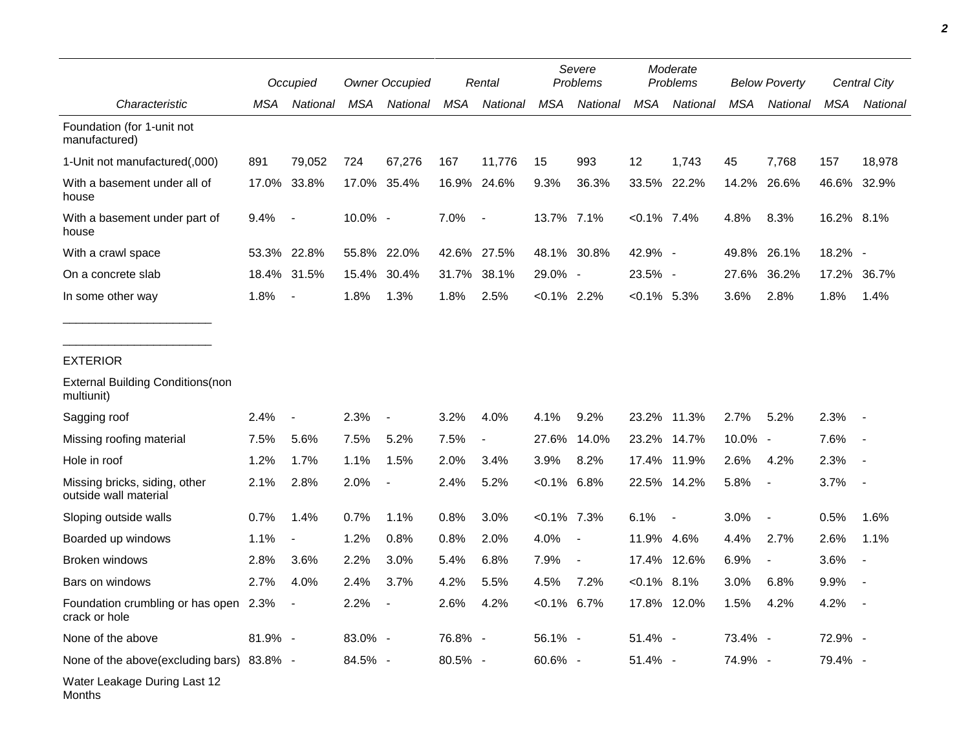|                                                        |         | Occupied                 | <b>Owner Occupied</b> |             | Rental     |                 | Severe<br>Problems |                          | Moderate<br><b>Problems</b> |                          | <b>Below Poverty</b> |                          | Central City |                          |
|--------------------------------------------------------|---------|--------------------------|-----------------------|-------------|------------|-----------------|--------------------|--------------------------|-----------------------------|--------------------------|----------------------|--------------------------|--------------|--------------------------|
| Characteristic                                         | MSA     | National                 | MSA                   | National    | <b>MSA</b> | <b>National</b> | <b>MSA</b>         | National                 | <b>MSA</b>                  | National                 | <b>MSA</b>           | National                 | <b>MSA</b>   | National                 |
| Foundation (for 1-unit not<br>manufactured)            |         |                          |                       |             |            |                 |                    |                          |                             |                          |                      |                          |              |                          |
| 1-Unit not manufactured(,000)                          | 891     | 79,052                   | 724                   | 67,276      | 167        | 11,776          | 15                 | 993                      | 12                          | 1,743                    | 45                   | 7,768                    | 157          | 18,978                   |
| With a basement under all of<br>house                  | 17.0%   | 33.8%                    |                       | 17.0% 35.4% | 16.9%      | 24.6%           | 9.3%               | 36.3%                    |                             | 33.5% 22.2%              | 14.2%                | 26.6%                    | 46.6% 32.9%  |                          |
| With a basement under part of<br>house                 | 9.4%    | $\overline{\phantom{a}}$ | 10.0% -               |             | 7.0%       | $\blacksquare$  | 13.7% 7.1%         |                          | $< 0.1\%$ 7.4%              |                          | 4.8%                 | 8.3%                     | 16.2% 8.1%   |                          |
| With a crawl space                                     | 53.3%   | 22.8%                    |                       | 55.8% 22.0% | 42.6%      | 27.5%           |                    | 48.1% 30.8%              | 42.9% -                     |                          | 49.8%                | 26.1%                    | 18.2% -      |                          |
| On a concrete slab                                     |         | 18.4% 31.5%              | 15.4%                 | 30.4%       | 31.7%      | 38.1%           | 29.0% -            |                          | 23.5% -                     |                          | 27.6%                | 36.2%                    | 17.2%        | 36.7%                    |
| In some other way                                      | 1.8%    | $\blacksquare$           | 1.8%                  | 1.3%        | 1.8%       | 2.5%            | $< 0.1\%$ 2.2%     |                          | $<0.1\%$ 5.3%               |                          | 3.6%                 | 2.8%                     | 1.8%         | 1.4%                     |
| <b>EXTERIOR</b>                                        |         |                          |                       |             |            |                 |                    |                          |                             |                          |                      |                          |              |                          |
| <b>External Building Conditions (non</b><br>multiunit) |         |                          |                       |             |            |                 |                    |                          |                             |                          |                      |                          |              |                          |
| Sagging roof                                           | 2.4%    | $\overline{\phantom{a}}$ | 2.3%                  |             | 3.2%       | 4.0%            | 4.1%               | 9.2%                     | 23.2%                       | 11.3%                    | 2.7%                 | 5.2%                     | 2.3%         |                          |
| Missing roofing material                               | 7.5%    | 5.6%                     | 7.5%                  | 5.2%        | 7.5%       | $\blacksquare$  | 27.6%              | 14.0%                    | 23.2%                       | 14.7%                    | 10.0% -              |                          | 7.6%         |                          |
| Hole in roof                                           | 1.2%    | 1.7%                     | 1.1%                  | 1.5%        | 2.0%       | 3.4%            | 3.9%               | 8.2%                     | 17.4%                       | 11.9%                    | 2.6%                 | 4.2%                     | 2.3%         |                          |
| Missing bricks, siding, other<br>outside wall material | 2.1%    | 2.8%                     | 2.0%                  |             | 2.4%       | 5.2%            | $< 0.1\%$ 6.8%     |                          | 22.5%                       | 14.2%                    | 5.8%                 | $\overline{\phantom{a}}$ | 3.7%         |                          |
| Sloping outside walls                                  | 0.7%    | 1.4%                     | 0.7%                  | 1.1%        | 0.8%       | 3.0%            | $< 0.1\%$ 7.3%     |                          | 6.1%                        | $\overline{\phantom{a}}$ | 3.0%                 | $\overline{\phantom{a}}$ | 0.5%         | 1.6%                     |
| Boarded up windows                                     | 1.1%    |                          | 1.2%                  | 0.8%        | 0.8%       | 2.0%            | 4.0%               | $\blacksquare$           | 11.9% 4.6%                  |                          | 4.4%                 | 2.7%                     | 2.6%         | 1.1%                     |
| Broken windows                                         | 2.8%    | 3.6%                     | 2.2%                  | 3.0%        | 5.4%       | 6.8%            | 7.9%               | $\overline{\phantom{a}}$ |                             | 17.4% 12.6%              | 6.9%                 | $\overline{\phantom{a}}$ | 3.6%         | $\overline{\phantom{a}}$ |
| Bars on windows                                        | 2.7%    | 4.0%                     | 2.4%                  | 3.7%        | 4.2%       | 5.5%            | 4.5%               | 7.2%                     | $< 0.1\%$ 8.1%              |                          | 3.0%                 | 6.8%                     | 9.9%         |                          |
| Foundation crumbling or has open 2.3%<br>crack or hole |         |                          | 2.2%                  |             | 2.6%       | 4.2%            | $< 0.1\%$ 6.7%     |                          |                             | 17.8% 12.0%              | $1.5\%$              | 4.2%                     | 4.2%         |                          |
| None of the above                                      | 81.9% - |                          | 83.0% -               |             | 76.8% -    |                 | 56.1% -            |                          | 51.4% -                     |                          | 73.4% -              |                          | 72.9% -      |                          |
| None of the above(excluding bars) 83.8% -              |         |                          | 84.5% -               |             | 80.5% -    |                 | 60.6% -            |                          | 51.4% -                     |                          | 74.9% -              |                          | 79.4% -      |                          |
| Water Leakage During Last 12<br>Months                 |         |                          |                       |             |            |                 |                    |                          |                             |                          |                      |                          |              |                          |

*2*

٠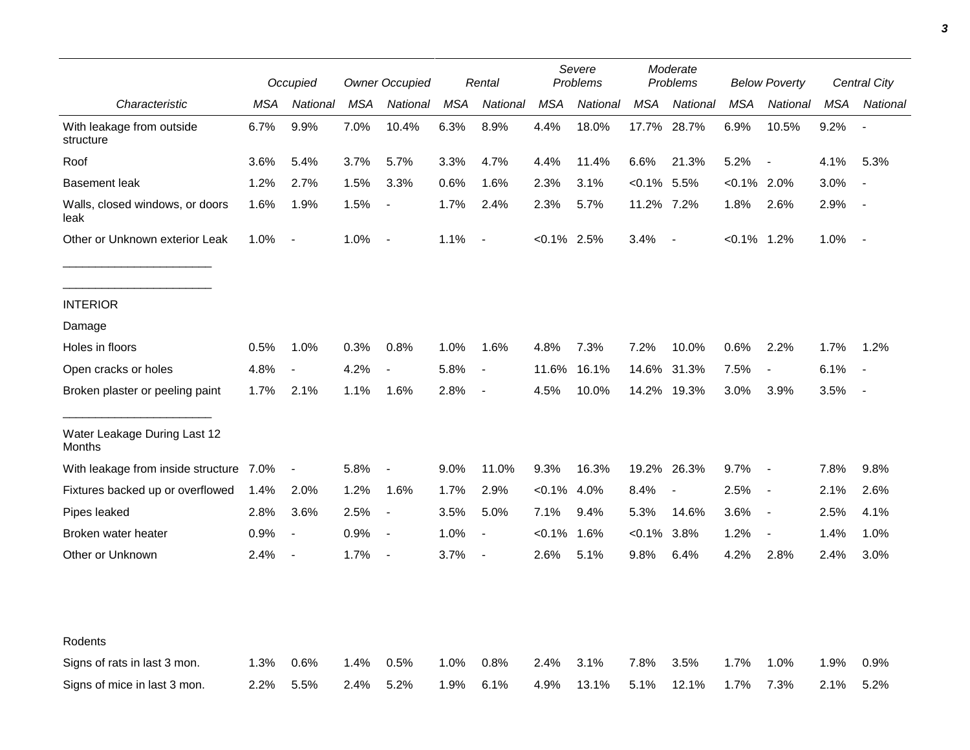|                                         |      | Occupied                 |      | <b>Owner Occupied</b>    |            | Rental                   | Severe<br>Problems |          | Moderate<br>Problems |                          | <b>Below Poverty</b> |                          | Central City |                          |
|-----------------------------------------|------|--------------------------|------|--------------------------|------------|--------------------------|--------------------|----------|----------------------|--------------------------|----------------------|--------------------------|--------------|--------------------------|
| Characteristic                          | MSA  | National                 | MSA  | National                 | <b>MSA</b> | National                 | <b>MSA</b>         | National | <b>MSA</b>           | National                 | <b>MSA</b>           | National                 | MSA          | National                 |
| With leakage from outside<br>structure  | 6.7% | 9.9%                     | 7.0% | 10.4%                    | 6.3%       | 8.9%                     | 4.4%               | 18.0%    | 17.7%                | 28.7%                    | 6.9%                 | 10.5%                    | 9.2%         |                          |
| Roof                                    | 3.6% | 5.4%                     | 3.7% | 5.7%                     | 3.3%       | 4.7%                     | 4.4%               | 11.4%    | 6.6%                 | 21.3%                    | 5.2%                 | $\overline{\phantom{a}}$ | 4.1%         | 5.3%                     |
| <b>Basement leak</b>                    | 1.2% | 2.7%                     | 1.5% | 3.3%                     | 0.6%       | 1.6%                     | 2.3%               | 3.1%     | $< 0.1\%$            | 5.5%                     | $< 0.1\%$ 2.0%       |                          | 3.0%         |                          |
| Walls, closed windows, or doors<br>leak | 1.6% | 1.9%                     | 1.5% | $\overline{\phantom{a}}$ | 1.7%       | 2.4%                     | 2.3%               | 5.7%     | 11.2% 7.2%           |                          | 1.8%                 | 2.6%                     | 2.9%         |                          |
| Other or Unknown exterior Leak          | 1.0% | $\blacksquare$           | 1.0% | $\overline{\phantom{a}}$ | 1.1%       | $\overline{\phantom{a}}$ | $< 0.1\%$ 2.5%     |          | 3.4%                 | $\overline{\phantom{a}}$ | $< 0.1\%$ 1.2%       |                          | 1.0%         |                          |
| <b>INTERIOR</b>                         |      |                          |      |                          |            |                          |                    |          |                      |                          |                      |                          |              |                          |
| Damage                                  |      |                          |      |                          |            |                          |                    |          |                      |                          |                      |                          |              |                          |
| Holes in floors                         | 0.5% | 1.0%                     | 0.3% | 0.8%                     | 1.0%       | 1.6%                     | 4.8%               | 7.3%     | 7.2%                 | 10.0%                    | 0.6%                 | 2.2%                     | 1.7%         | 1.2%                     |
| Open cracks or holes                    | 4.8% | $\overline{\phantom{a}}$ | 4.2% | $\overline{\phantom{a}}$ | 5.8%       | $\overline{\phantom{a}}$ | 11.6%              | 16.1%    | 14.6%                | 31.3%                    | 7.5%                 | $\blacksquare$           | 6.1%         | $\overline{\phantom{a}}$ |
| Broken plaster or peeling paint         | 1.7% | 2.1%                     | 1.1% | 1.6%                     | 2.8%       | $\blacksquare$           | 4.5%               | 10.0%    | 14.2%                | 19.3%                    | 3.0%                 | 3.9%                     | 3.5%         | $\overline{\phantom{a}}$ |
| Water Leakage During Last 12<br>Months  |      |                          |      |                          |            |                          |                    |          |                      |                          |                      |                          |              |                          |
| With leakage from inside structure 7.0% |      | $\blacksquare$           | 5.8% | $\overline{\phantom{a}}$ | 9.0%       | 11.0%                    | 9.3%               | 16.3%    |                      | 19.2% 26.3%              | 9.7%                 | $\overline{\phantom{a}}$ | 7.8%         | 9.8%                     |
| Fixtures backed up or overflowed        | 1.4% | 2.0%                     | 1.2% | 1.6%                     | 1.7%       | 2.9%                     | $<0.1\%$           | 4.0%     | 8.4%                 | $\blacksquare$           | 2.5%                 | $\overline{\phantom{a}}$ | 2.1%         | 2.6%                     |
| Pipes leaked                            | 2.8% | 3.6%                     | 2.5% | $\overline{\phantom{a}}$ | 3.5%       | 5.0%                     | 7.1%               | 9.4%     | 5.3%                 | 14.6%                    | 3.6%                 | $\overline{\phantom{a}}$ | 2.5%         | 4.1%                     |
| Broken water heater                     | 0.9% | $\overline{\phantom{a}}$ | 0.9% | $\overline{\phantom{a}}$ | 1.0%       | $\overline{\phantom{a}}$ | $< 0.1\%$          | 1.6%     | $<0.1\%$             | 3.8%                     | 1.2%                 | $\overline{\phantom{a}}$ | 1.4%         | 1.0%                     |
| Other or Unknown                        | 2.4% | $\overline{\phantom{a}}$ | 1.7% | $\overline{\phantom{a}}$ | 3.7%       | $\overline{\phantom{a}}$ | 2.6%               | 5.1%     | 9.8%                 | 6.4%                     | 4.2%                 | 2.8%                     | 2.4%         | 3.0%                     |
| Rodents                                 |      |                          |      |                          |            |                          |                    |          |                      |                          |                      |                          |              |                          |
| Signs of rats in last 3 mon.            | 1.3% | 0.6%                     | 1.4% | 0.5%                     | 1.0%       | 0.8%                     | 2.4%               | 3.1%     | 7.8%                 | 3.5%                     | 1.7%                 | 1.0%                     | 1.9%         | 0.9%                     |
| Signs of mice in last 3 mon.            | 2.2% | 5.5%                     | 2.4% | 5.2%                     | 1.9%       | 6.1%                     | 4.9%               | 13.1%    | 5.1%                 | 12.1%                    | 1.7%                 | 7.3%                     | 2.1%         | 5.2%                     |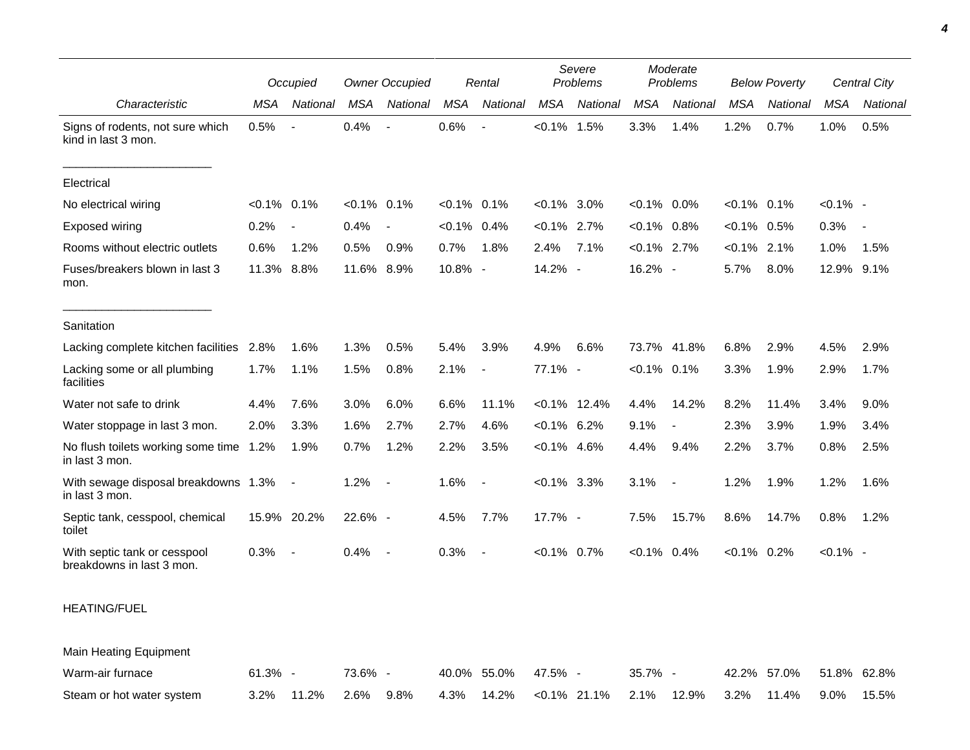|                                                           |            | Occupied                 | <b>Owner Occupied</b> |                          | Rental         |                          | Severe<br>Problems |                 | Moderate<br>Problems |                          | <b>Below Poverty</b> |             | Central City |                          |
|-----------------------------------------------------------|------------|--------------------------|-----------------------|--------------------------|----------------|--------------------------|--------------------|-----------------|----------------------|--------------------------|----------------------|-------------|--------------|--------------------------|
| Characteristic                                            | <b>MSA</b> | National                 | <b>MSA</b>            | National                 | <b>MSA</b>     | National                 | <b>MSA</b>         | National        | <b>MSA</b>           | National                 | <b>MSA</b>           | National    | <b>MSA</b>   | National                 |
| Signs of rodents, not sure which<br>kind in last 3 mon.   | 0.5%       | $\overline{\phantom{a}}$ | 0.4%                  | $\overline{a}$           | 0.6%           | $\overline{\phantom{a}}$ | $< 0.1\%$ 1.5%     |                 | 3.3%                 | 1.4%                     | 1.2%                 | 0.7%        | 1.0%         | 0.5%                     |
| Electrical                                                |            |                          |                       |                          |                |                          |                    |                 |                      |                          |                      |             |              |                          |
| No electrical wiring                                      | $< 0.1\%$  | 0.1%                     | $<0.1\%$ 0.1%         |                          | $<0.1\%$ 0.1%  |                          | $< 0.1\%$ 3.0%     |                 | $< 0.1\%$ 0.0%       |                          | $< 0.1\%$ 0.1%       |             | $< 0.1\%$ -  |                          |
| <b>Exposed wiring</b>                                     | 0.2%       | $\overline{\phantom{a}}$ | 0.4%                  | $\blacksquare$           | $< 0.1\%$ 0.4% |                          | $< 0.1\%$ 2.7%     |                 | $< 0.1\%$ 0.8%       |                          | $< 0.1\%$            | 0.5%        | 0.3%         | $\overline{\phantom{a}}$ |
| Rooms without electric outlets                            | 0.6%       | 1.2%                     | 0.5%                  | 0.9%                     | 0.7%           | 1.8%                     | 2.4%               | 7.1%            | $< 0.1\%$ 2.7%       |                          | $< 0.1\%$            | 2.1%        | 1.0%         | 1.5%                     |
| Fuses/breakers blown in last 3<br>mon.                    | 11.3%      | 8.8%                     | 11.6%                 | 8.9%                     | 10.8% -        |                          | 14.2% -            |                 | 16.2% -              |                          | 5.7%                 | 8.0%        | 12.9%        | 9.1%                     |
| Sanitation                                                |            |                          |                       |                          |                |                          |                    |                 |                      |                          |                      |             |              |                          |
| Lacking complete kitchen facilities 2.8%                  |            | 1.6%                     | 1.3%                  | 0.5%                     | 5.4%           | 3.9%                     | 4.9%               | 6.6%            | 73.7%                | 41.8%                    | 6.8%                 | 2.9%        | 4.5%         | 2.9%                     |
| Lacking some or all plumbing<br>facilities                | 1.7%       | 1.1%                     | 1.5%                  | 0.8%                     | 2.1%           | $\blacksquare$           | 77.1% -            |                 | $< 0.1\%$ 0.1%       |                          | 3.3%                 | 1.9%        | 2.9%         | 1.7%                     |
| Water not safe to drink                                   | 4.4%       | 7.6%                     | 3.0%                  | 6.0%                     | 6.6%           | 11.1%                    |                    | $< 0.1\%$ 12.4% | 4.4%                 | 14.2%                    | 8.2%                 | 11.4%       | 3.4%         | 9.0%                     |
| Water stoppage in last 3 mon.                             | 2.0%       | 3.3%                     | 1.6%                  | 2.7%                     | 2.7%           | 4.6%                     | $< 0.1\%$ 6.2%     |                 | 9.1%                 | $\overline{\phantom{a}}$ | 2.3%                 | 3.9%        | 1.9%         | 3.4%                     |
| No flush toilets working some time 1.2%<br>in last 3 mon. |            | 1.9%                     | 0.7%                  | 1.2%                     | 2.2%           | 3.5%                     | $<0.1\%$ 4.6%      |                 | 4.4%                 | 9.4%                     | 2.2%                 | 3.7%        | 0.8%         | 2.5%                     |
| With sewage disposal breakdowns 1.3%<br>in last 3 mon.    |            | $\overline{\phantom{a}}$ | 1.2%                  | $\overline{\phantom{a}}$ | 1.6%           | $\blacksquare$           | $< 0.1\%$ 3.3%     |                 | 3.1%                 |                          | 1.2%                 | 1.9%        | 1.2%         | 1.6%                     |
| Septic tank, cesspool, chemical<br>toilet                 |            | 15.9% 20.2%              | 22.6% -               |                          | 4.5%           | 7.7%                     | 17.7% -            |                 | 7.5%                 | 15.7%                    | 8.6%                 | 14.7%       | 0.8%         | 1.2%                     |
| With septic tank or cesspool<br>breakdowns in last 3 mon. | 0.3%       | J.                       | 0.4%                  | $\overline{\phantom{a}}$ | 0.3%           | $\overline{\phantom{a}}$ | $< 0.1\%$ 0.7%     |                 | $< 0.1\%$ 0.4%       |                          | $< 0.1\%$ 0.2%       |             | $< 0.1\%$ -  |                          |
| <b>HEATING/FUEL</b>                                       |            |                          |                       |                          |                |                          |                    |                 |                      |                          |                      |             |              |                          |
| <b>Main Heating Equipment</b>                             |            |                          |                       |                          |                |                          |                    |                 |                      |                          |                      |             |              |                          |
| Warm-air furnace                                          | $61.3\%$ - |                          | 73.6% -               |                          |                | 40.0% 55.0%              | 47.5% -            |                 | $35.7\%$ -           |                          |                      | 42.2% 57.0% |              | 51.8% 62.8%              |

Steam or hot water system 3.2% 11.2% 2.6% 9.8% 4.3% 14.2% <0.1% 21.1% 2.1% 12.9% 3.2% 11.4% 9.0% 15.5%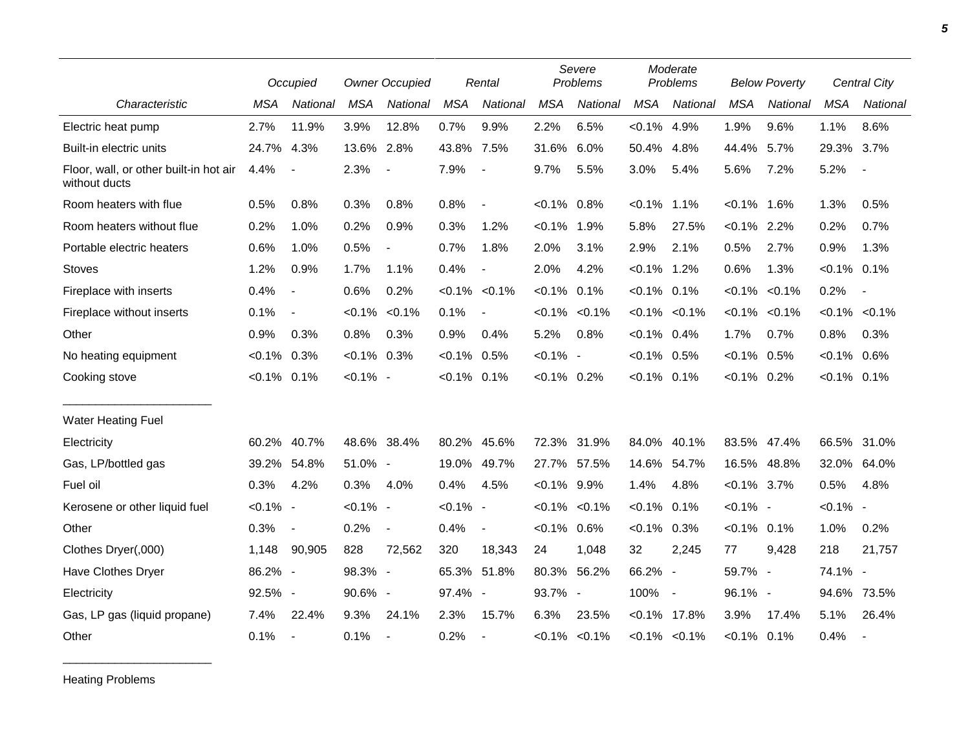|                                                         |             | Occupied                 |                | <b>Owner Occupied</b>    |                | Rental         |                | Severe<br>Problems  |                | Moderate<br>Problems     |                | <b>Below Poverty</b> |                     | Central City             |
|---------------------------------------------------------|-------------|--------------------------|----------------|--------------------------|----------------|----------------|----------------|---------------------|----------------|--------------------------|----------------|----------------------|---------------------|--------------------------|
| Characteristic                                          | <b>MSA</b>  | National                 | <b>MSA</b>     | National                 | <b>MSA</b>     | National       | <b>MSA</b>     | National            | <b>MSA</b>     | National                 | <b>MSA</b>     | National             | <b>MSA</b>          | <b>National</b>          |
| Electric heat pump                                      | 2.7%        | 11.9%                    | 3.9%           | 12.8%                    | 0.7%           | 9.9%           | 2.2%           | 6.5%                | $< 0.1\%$      | 4.9%                     | 1.9%           | 9.6%                 | 1.1%                | 8.6%                     |
| Built-in electric units                                 | 24.7%       | 4.3%                     | 13.6%          | 2.8%                     | 43.8% 7.5%     |                | 31.6%          | 6.0%                | 50.4%          | 4.8%                     | 44.4%          | 5.7%                 | 29.3%               | 3.7%                     |
| Floor, wall, or other built-in hot air<br>without ducts | 4.4%        | $\overline{\phantom{a}}$ | 2.3%           | $\overline{\phantom{a}}$ | 7.9%           | $\blacksquare$ | 9.7%           | 5.5%                | 3.0%           | 5.4%                     | 5.6%           | 7.2%                 | 5.2%                | $\blacksquare$           |
| Room heaters with flue                                  | 0.5%        | 0.8%                     | 0.3%           | 0.8%                     | 0.8%           | $\blacksquare$ | $< 0.1\%$ 0.8% |                     | $< 0.1\%$      | 1.1%                     | $< 0.1\%$      | 1.6%                 | 1.3%                | 0.5%                     |
| Room heaters without flue                               | 0.2%        | 1.0%                     | 0.2%           | 0.9%                     | 0.3%           | 1.2%           | $< 0.1\%$      | 1.9%                | 5.8%           | 27.5%                    | $< 0.1\%$ 2.2% |                      | 0.2%                | 0.7%                     |
| Portable electric heaters                               | 0.6%        | 1.0%                     | 0.5%           | $\overline{\phantom{a}}$ | 0.7%           | 1.8%           | 2.0%           | 3.1%                | 2.9%           | 2.1%                     | 0.5%           | 2.7%                 | 0.9%                | 1.3%                     |
| <b>Stoves</b>                                           | 1.2%        | 0.9%                     | 1.7%           | 1.1%                     | 0.4%           | $\overline{a}$ | 2.0%           | 4.2%                | $< 0.1\%$ 1.2% |                          | 0.6%           | 1.3%                 | $< 0.1\%$ 0.1%      |                          |
| Fireplace with inserts                                  | 0.4%        | $\blacksquare$           | 0.6%           | 0.2%                     | $< 0.1\%$      | $< 0.1\%$      | $< 0.1\%$      | 0.1%                | $< 0.1\%$      | 0.1%                     | $< 0.1\%$      | $< 0.1\%$            | 0.2%                | $\overline{\phantom{a}}$ |
| Fireplace without inserts                               | 0.1%        | $\overline{\phantom{a}}$ | $< 0.1\%$      | < 0.1%                   | 0.1%           | $\blacksquare$ |                | $< 0.1\%$ $< 0.1\%$ |                | $< 0.1\%$ $< 0.1\%$      | $< 0.1\%$      | $< 0.1\%$            | $< 0.1\%$ $< 0.1\%$ |                          |
| Other                                                   | 0.9%        | 0.3%                     | 0.8%           | 0.3%                     | 0.9%           | 0.4%           | 5.2%           | 0.8%                | $< 0.1\%$ 0.4% |                          | 1.7%           | 0.7%                 | 0.8%                | 0.3%                     |
| No heating equipment                                    | $< 0.1\%$   | 0.3%                     | $< 0.1\%$ 0.3% |                          | $< 0.1\%$ 0.5% |                | $< 0.1\%$ -    |                     | $< 0.1\%$      | 0.5%                     | $< 0.1\%$      | 0.5%                 | $< 0.1\%$           | 0.6%                     |
| Cooking stove                                           | $< 0.1\%$   | 0.1%                     | $< 0.1\%$ -    |                          | $< 0.1\%$ 0.1% |                | $< 0.1\%$ 0.2% |                     | $< 0.1\%$ 0.1% |                          | $< 0.1\%$ 0.2% |                      | $< 0.1\%$ 0.1%      |                          |
| <b>Water Heating Fuel</b>                               |             |                          |                |                          |                |                |                |                     |                |                          |                |                      |                     |                          |
| Electricity                                             | 60.2%       | 40.7%                    | 48.6% 38.4%    |                          |                | 80.2% 45.6%    | 72.3%          | 31.9%               | 84.0%          | 40.1%                    |                | 83.5% 47.4%          | 66.5%               | 31.0%                    |
| Gas, LP/bottled gas                                     | 39.2%       | 54.8%                    | 51.0% -        |                          |                | 19.0% 49.7%    | 27.7%          | 57.5%               | 14.6%          | 54.7%                    | 16.5%          | 48.8%                | 32.0%               | 64.0%                    |
| Fuel oil                                                | 0.3%        | 4.2%                     | 0.3%           | 4.0%                     | 0.4%           | 4.5%           | $< 0.1\%$ 9.9% |                     | 1.4%           | 4.8%                     | $< 0.1\%$ 3.7% |                      | 0.5%                | 4.8%                     |
| Kerosene or other liquid fuel                           | $< 0.1\%$ - |                          | $< 0.1\%$ -    |                          | $< 0.1\%$ -    |                |                | $< 0.1\%$ $< 0.1\%$ | $< 0.1\%$      | 0.1%                     | $< 0.1\%$ -    |                      | $< 0.1\%$ -         |                          |
| Other                                                   | 0.3%        | $\overline{\phantom{a}}$ | 0.2%           | $\blacksquare$           | 0.4%           | $\blacksquare$ | $< 0.1\%$ 0.6% |                     | $< 0.1\%$      | 0.3%                     | $< 0.1\%$ 0.1% |                      | 1.0%                | 0.2%                     |
| Clothes Dryer(,000)                                     | 1,148       | 90,905                   | 828            | 72,562                   | 320            | 18,343         | 24             | 1,048               | 32             | 2,245                    | 77             | 9,428                | 218                 | 21,757                   |
| Have Clothes Dryer                                      | 86.2% -     |                          | 98.3% -        |                          |                | 65.3% 51.8%    | 80.3%          | 56.2%               | 66.2%          | $\overline{\phantom{a}}$ | 59.7% -        |                      | 74.1% -             |                          |
| Electricity                                             | 92.5% -     |                          | 90.6% -        |                          | 97.4% -        |                | 93.7% -        |                     | 100%           | $\sim$                   | 96.1% -        |                      | 94.6%               | 73.5%                    |
| Gas, LP gas (liquid propane)                            | 7.4%        | 22.4%                    | 9.3%           | 24.1%                    | 2.3%           | 15.7%          | 6.3%           | 23.5%               | <0.1%          | 17.8%                    | 3.9%           | 17.4%                | 5.1%                | 26.4%                    |
| Other                                                   | 0.1%        | $\overline{\phantom{a}}$ | 0.1%           |                          | 0.2%           |                |                | $< 0.1\%$ $< 0.1\%$ |                | $< 0.1\%$ $< 0.1\%$      | $< 0.1\%$ 0.1% |                      | 0.4%                | $\overline{\phantom{a}}$ |

Heating Problems

\_\_\_\_\_\_\_\_\_\_\_\_\_\_\_\_\_\_\_\_\_\_\_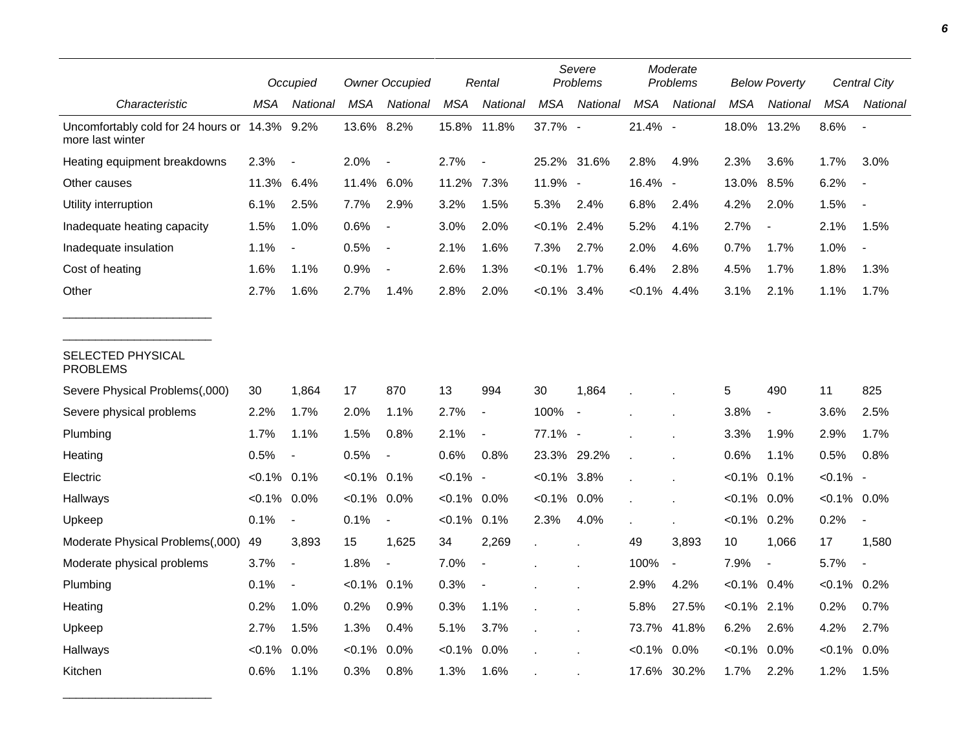|                                                        |                | Occupied                 |                | <b>Owner Occupied</b>    |             | Rental                   |                | Severe<br>Problems       |            | Moderate<br>Problems     |                | <b>Below Poverty</b>     |                | <b>Central City</b> |
|--------------------------------------------------------|----------------|--------------------------|----------------|--------------------------|-------------|--------------------------|----------------|--------------------------|------------|--------------------------|----------------|--------------------------|----------------|---------------------|
| Characteristic                                         | MSA            | National                 | <b>MSA</b>     | National                 | <b>MSA</b>  | National                 | <b>MSA</b>     | National                 | <b>MSA</b> | National                 | <b>MSA</b>     | National                 | <b>MSA</b>     | National            |
| Uncomfortably cold for 24 hours or<br>more last winter | 14.3% 9.2%     |                          | 13.6% 8.2%     |                          |             | 15.8% 11.8%              | 37.7% -        |                          | 21.4% -    |                          | 18.0%          | 13.2%                    | 8.6%           |                     |
| Heating equipment breakdowns                           | 2.3%           |                          | 2.0%           | $\overline{a}$           | 2.7%        | $\overline{\phantom{a}}$ | 25.2% 31.6%    |                          | 2.8%       | 4.9%                     | 2.3%           | 3.6%                     | 1.7%           | 3.0%                |
| Other causes                                           | 11.3%          | 6.4%                     | 11.4%          | 6.0%                     | 11.2%       | 7.3%                     | 11.9% -        |                          | 16.4% -    |                          | 13.0%          | 8.5%                     | 6.2%           |                     |
| Utility interruption                                   | 6.1%           | 2.5%                     | 7.7%           | 2.9%                     | 3.2%        | 1.5%                     | 5.3%           | 2.4%                     | 6.8%       | 2.4%                     | 4.2%           | 2.0%                     | 1.5%           |                     |
| Inadequate heating capacity                            | 1.5%           | 1.0%                     | 0.6%           | $\overline{\phantom{a}}$ | 3.0%        | 2.0%                     | $< 0.1\%$ 2.4% |                          | 5.2%       | 4.1%                     | 2.7%           | $\blacksquare$           | 2.1%           | 1.5%                |
| Inadequate insulation                                  | 1.1%           | $\overline{\phantom{a}}$ | 0.5%           | $\overline{\phantom{a}}$ | 2.1%        | 1.6%                     | 7.3%           | 2.7%                     | 2.0%       | 4.6%                     | 0.7%           | 1.7%                     | 1.0%           |                     |
| Cost of heating                                        | 1.6%           | 1.1%                     | 0.9%           |                          | 2.6%        | 1.3%                     | $< 0.1\%$ 1.7% |                          | 6.4%       | 2.8%                     | 4.5%           | 1.7%                     | 1.8%           | 1.3%                |
| Other                                                  | 2.7%           | 1.6%                     | 2.7%           | 1.4%                     | 2.8%        | 2.0%                     | $< 0.1\%$ 3.4% |                          | $< 0.1\%$  | 4.4%                     | 3.1%           | 2.1%                     | 1.1%           | 1.7%                |
| SELECTED PHYSICAL<br><b>PROBLEMS</b>                   |                |                          |                |                          |             |                          |                |                          |            |                          |                |                          |                |                     |
| Severe Physical Problems(,000)                         | 30             | 1,864                    | 17             | 870                      | 13          | 994                      | 30             | 1,864                    |            |                          | 5              | 490                      | 11             | 825                 |
| Severe physical problems                               | 2.2%           | 1.7%                     | 2.0%           | 1.1%                     | 2.7%        | $\blacksquare$           | 100%           | $\overline{\phantom{a}}$ |            |                          | 3.8%           | $\overline{\phantom{a}}$ | 3.6%           | 2.5%                |
| Plumbing                                               | 1.7%           | 1.1%                     | 1.5%           | 0.8%                     | 2.1%        | $\overline{\phantom{a}}$ | 77.1% -        |                          |            |                          | 3.3%           | 1.9%                     | 2.9%           | 1.7%                |
| Heating                                                | 0.5%           | $\overline{\phantom{a}}$ | 0.5%           | $\overline{\phantom{a}}$ | 0.6%        | 0.8%                     | 23.3%          | 29.2%                    |            |                          | 0.6%           | 1.1%                     | 0.5%           | 0.8%                |
| Electric                                               | $< 0.1\%$ 0.1% |                          | $< 0.1\%$ 0.1% |                          | $< 0.1\%$ - |                          | $< 0.1\%$ 3.8% |                          |            |                          | $< 0.1\%$      | 0.1%                     | $< 0.1\%$ -    |                     |
| Hallways                                               | $< 0.1\%$ 0.0% |                          | $< 0.1\%$      | 0.0%                     | $< 0.1\%$   | $0.0\%$                  | $< 0.1\%$      | 0.0%                     |            |                          | $< 0.1\%$      | 0.0%                     | $< 0.1\%$ 0.0% |                     |
| Upkeep                                                 | 0.1%           | $\overline{\phantom{a}}$ | 0.1%           | $\overline{\phantom{a}}$ | $< 0.1\%$   | 0.1%                     | 2.3%           | 4.0%                     |            |                          | $< 0.1\%$      | 0.2%                     | 0.2%           |                     |
| Moderate Physical Problems(,000)                       | 49             | 3,893                    | 15             | 1,625                    | 34          | 2,269                    | $\mathbf{r}$   |                          | 49         | 3,893                    | 10             | 1,066                    | 17             | 1,580               |
| Moderate physical problems                             | 3.7%           | $\overline{a}$           | 1.8%           | $\overline{\phantom{a}}$ | 7.0%        | $\blacksquare$           |                |                          | 100%       | $\overline{\phantom{a}}$ | 7.9%           | $\overline{\phantom{a}}$ | 5.7%           | $\blacksquare$      |
| Plumbing                                               | 0.1%           | $\overline{\phantom{a}}$ | $< 0.1\%$ 0.1% |                          | 0.3%        |                          |                |                          | 2.9%       | 4.2%                     | $< 0.1\%$ 0.4% |                          | $< 0.1\%$ 0.2% |                     |
| Heating                                                | 0.2%           | 1.0%                     | 0.2%           | 0.9%                     | 0.3%        | 1.1%                     |                |                          | 5.8%       | 27.5%                    | $< 0.1\%$ 2.1% |                          | 0.2%           | 0.7%                |
| Upkeep                                                 | 2.7%           | 1.5%                     | 1.3%           | 0.4%                     | 5.1%        | 3.7%                     |                |                          | 73.7%      | 41.8%                    | 6.2%           | 2.6%                     | 4.2%           | 2.7%                |
| Hallways                                               | $< 0.1\%$      | 0.0%                     | $< 0.1\%$      | 0.0%                     | $< 0.1\%$   | 0.0%                     |                |                          | $< 0.1\%$  | 0.0%                     | $< 0.1\%$      | $0.0\%$                  | $< 0.1\%$      | 0.0%                |
| Kitchen                                                | 0.6%           | 1.1%                     | 0.3%           | 0.8%                     | 1.3%        | 1.6%                     |                |                          | 17.6%      | 30.2%                    | 1.7%           | 2.2%                     | 1.2%           | 1.5%                |

\_\_\_\_\_\_\_\_\_\_\_\_\_\_\_\_\_\_\_\_\_\_\_